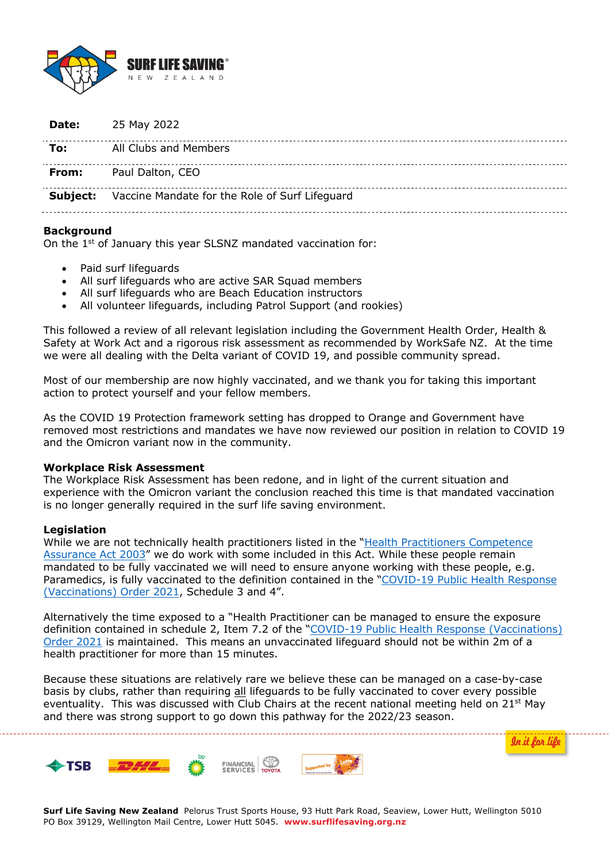

|       | <b>Subject:</b> Vaccine Mandate for the Role of Surf Lifeguard |
|-------|----------------------------------------------------------------|
| From: | Paul Dalton, CEO                                               |
| To:   | All Clubs and Members                                          |
| Date: | 25 May 2022                                                    |

#### **Background**

On the 1st of January this year SLSNZ mandated vaccination for:

- Paid surf lifeguards
- All surf lifeguards who are active SAR Squad members
- All surf lifeguards who are Beach Education instructors
- All volunteer lifeguards, including Patrol Support (and rookies)

This followed a review of all relevant legislation including the Government Health Order, Health & Safety at Work Act and a rigorous risk assessment as recommended by WorkSafe NZ. At the time we were all dealing with the Delta variant of COVID 19, and possible community spread.

Most of our membership are now highly vaccinated, and we thank you for taking this important action to protect yourself and your fellow members.

As the COVID 19 Protection framework setting has dropped to Orange and Government have removed most restrictions and mandates we have now reviewed our position in relation to COVID 19 and the Omicron variant now in the community.

#### **Workplace Risk Assessment**

The Workplace Risk Assessment has been redone, and in light of the current situation and experience with the Omicron variant the conclusion reached this time is that mandated vaccination is no longer generally required in the surf life saving environment.

## **Legislation**

While we are not technically health practitioners listed in the "Health Practitioners Competence Assurance Act 2003" we do work with some included in this Act. While these people remain mandated to be fully vaccinated we will need to ensure anyone working with these people, e.g. Paramedics, is fully vaccinated to the definition contained in the "COVID-19 Public Health Response (Vaccinations) Order 2021, Schedule 3 and 4".

Alternatively the time exposed to a "Health Practitioner can be managed to ensure the exposure definition contained in schedule 2, Item 7.2 of the "COVID-19 Public Health Response (Vaccinations) Order 2021 is maintained. This means an unvaccinated lifeguard should not be within 2m of a health practitioner for more than 15 minutes.

Because these situations are relatively rare we believe these can be managed on a case-by-case basis by clubs, rather than requiring all lifeguards to be fully vaccinated to cover every possible eventuality. This was discussed with Club Chairs at the recent national meeting held on  $21^{st}$  May and there was strong support to go down this pathway for the 2022/23 season.

In it for li



**Surf Life Saving New Zealand** Pelorus Trust Sports House, 93 Hutt Park Road, Seaview, Lower Hutt, Wellington 5010 PO Box 39129, Wellington Mail Centre, Lower Hutt 5045. **www.surflifesaving.org.nz**